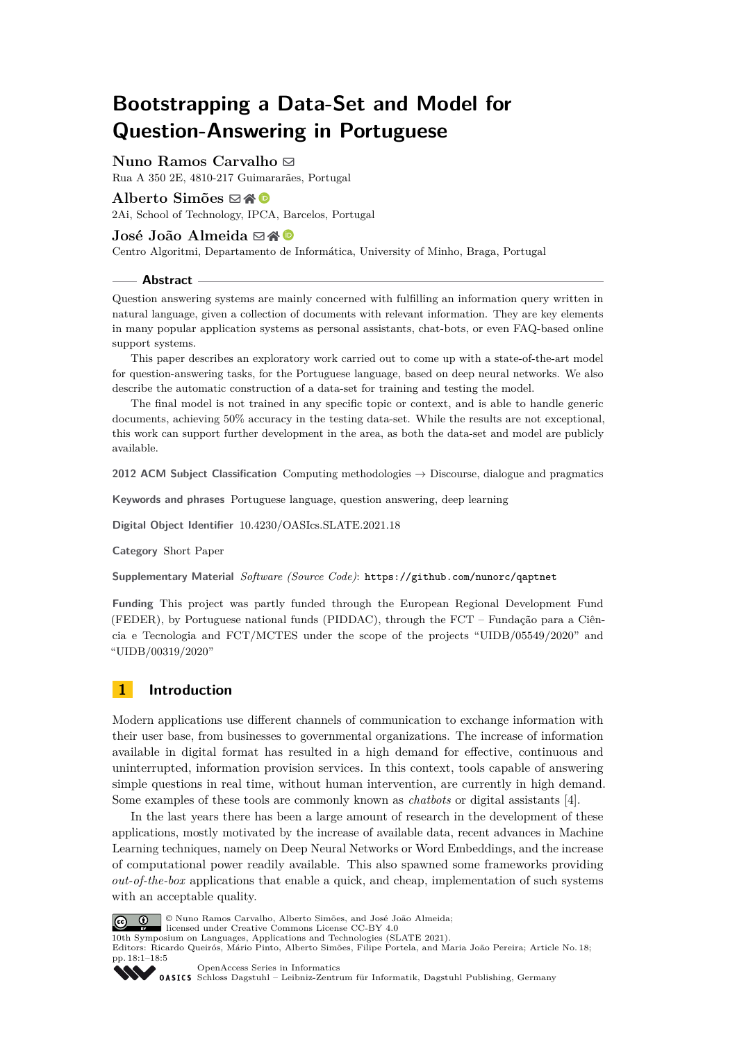# **Bootstrapping a Data-Set and Model for Question-Answering in Portuguese**

## **Nuno Ramos Carvalho**  $\boxtimes$

Rua A 350 2E, 4810-217 Guimararães, Portugal

## Alberto Simões  $\boxtimes \otimes \otimes$

2Ai, School of Technology, IPCA, Barcelos, Portugal

### José João Almeida **⊠** A **D**

Centro Algoritmi, Departamento de Informática, University of Minho, Braga, Portugal

#### **Abstract**

Question answering systems are mainly concerned with fulfilling an information query written in natural language, given a collection of documents with relevant information. They are key elements in many popular application systems as personal assistants, chat-bots, or even FAQ-based online support systems.

This paper describes an exploratory work carried out to come up with a state-of-the-art model for question-answering tasks, for the Portuguese language, based on deep neural networks. We also describe the automatic construction of a data-set for training and testing the model.

The final model is not trained in any specific topic or context, and is able to handle generic documents, achieving 50% accuracy in the testing data-set. While the results are not exceptional, this work can support further development in the area, as both the data-set and model are publicly available.

**2012 ACM Subject Classification** Computing methodologies → Discourse, dialogue and pragmatics

**Keywords and phrases** Portuguese language, question answering, deep learning

**Digital Object Identifier** [10.4230/OASIcs.SLATE.2021.18](https://doi.org/10.4230/OASIcs.SLATE.2021.18)

**Category** Short Paper

**Supplementary Material** *Software (Source Code)*: <https://github.com/nunorc/qaptnet>

**Funding** This project was partly funded through the European Regional Development Fund (FEDER), by Portuguese national funds (PIDDAC), through the FCT – Fundação para a Ciência e Tecnologia and FCT/MCTES under the scope of the projects "UIDB/05549/2020" and "UIDB/00319/2020"

## **1 Introduction**

Modern applications use different channels of communication to exchange information with their user base, from businesses to governmental organizations. The increase of information available in digital format has resulted in a high demand for effective, continuous and uninterrupted, information provision services. In this context, tools capable of answering simple questions in real time, without human intervention, are currently in high demand. Some examples of these tools are commonly known as *chatbots* or digital assistants [\[4\]](#page-4-0).

In the last years there has been a large amount of research in the development of these applications, mostly motivated by the increase of available data, recent advances in Machine Learning techniques, namely on Deep Neural Networks or Word Embeddings, and the increase of computational power readily available. This also spawned some frameworks providing *out-of-the-box* applications that enable a quick, and cheap, implementation of such systems with an acceptable quality.



© Nuno Ramos Carvalho, Alberto Simões, and José João Almeida;

licensed under Creative Commons License CC-BY 4.0 10th Symposium on Languages, Applications and Technologies (SLATE 2021).

Editors: Ricardo Queirós, Mário Pinto, Alberto Simões, Filipe Portela, and Maria João Pereira; Article No. 18; pp. 18:1–18:5



[OpenAccess Series in Informatics](https://www.dagstuhl.de/oasics/) OASICS [Schloss Dagstuhl – Leibniz-Zentrum für Informatik, Dagstuhl Publishing, Germany](https://www.dagstuhl.de)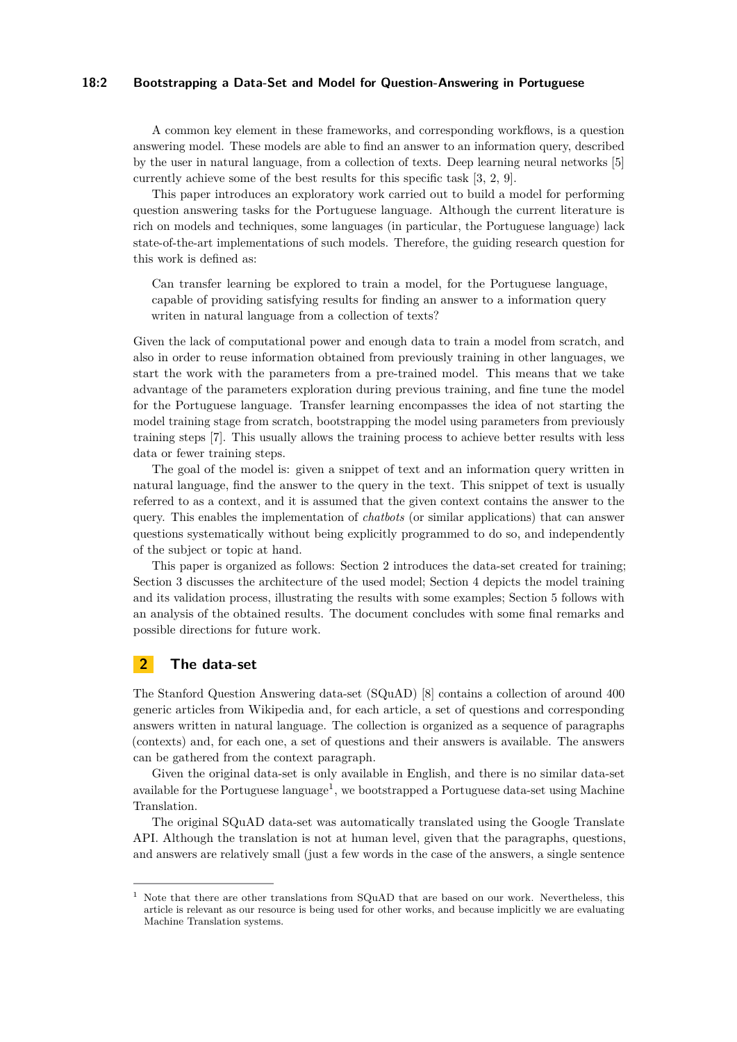#### **18:2 Bootstrapping a Data-Set and Model for Question-Answering in Portuguese**

A common key element in these frameworks, and corresponding workflows, is a question answering model. These models are able to find an answer to an information query, described by the user in natural language, from a collection of texts. Deep learning neural networks [\[5\]](#page-4-1) currently achieve some of the best results for this specific task [\[3,](#page-4-2) [2,](#page-4-3) [9\]](#page-4-4).

This paper introduces an exploratory work carried out to build a model for performing question answering tasks for the Portuguese language. Although the current literature is rich on models and techniques, some languages (in particular, the Portuguese language) lack state-of-the-art implementations of such models. Therefore, the guiding research question for this work is defined as:

Can transfer learning be explored to train a model, for the Portuguese language, capable of providing satisfying results for finding an answer to a information query writen in natural language from a collection of texts?

Given the lack of computational power and enough data to train a model from scratch, and also in order to reuse information obtained from previously training in other languages, we start the work with the parameters from a pre-trained model. This means that we take advantage of the parameters exploration during previous training, and fine tune the model for the Portuguese language. Transfer learning encompasses the idea of not starting the model training stage from scratch, bootstrapping the model using parameters from previously training steps [\[7\]](#page-4-5). This usually allows the training process to achieve better results with less data or fewer training steps.

The goal of the model is: given a snippet of text and an information query written in natural language, find the answer to the query in the text. This snippet of text is usually referred to as a context, and it is assumed that the given context contains the answer to the query. This enables the implementation of *chatbots* (or similar applications) that can answer questions systematically without being explicitly programmed to do so, and independently of the subject or topic at hand.

This paper is organized as follows: Section [2](#page-1-0) introduces the data-set created for training; Section [3](#page-2-0) discusses the architecture of the used model; Section [4](#page-2-1) depicts the model training and its validation process, illustrating the results with some examples; Section [5](#page-3-0) follows with an analysis of the obtained results. The document concludes with some final remarks and possible directions for future work.

## <span id="page-1-0"></span>**2 The data-set**

The Stanford Question Answering data-set (SQuAD) [\[8\]](#page-4-6) contains a collection of around 400 generic articles from Wikipedia and, for each article, a set of questions and corresponding answers written in natural language. The collection is organized as a sequence of paragraphs (contexts) and, for each one, a set of questions and their answers is available. The answers can be gathered from the context paragraph.

Given the original data-set is only available in English, and there is no similar data-set available for the Portuguese language<sup>[1](#page-1-1)</sup>, we bootstrapped a Portuguese data-set using Machine Translation.

The original SQuAD data-set was automatically translated using the Google Translate API. Although the translation is not at human level, given that the paragraphs, questions, and answers are relatively small (just a few words in the case of the answers, a single sentence

<span id="page-1-1"></span><sup>1</sup> Note that there are other translations from SQuAD that are based on our work. Nevertheless, this article is relevant as our resource is being used for other works, and because implicitly we are evaluating Machine Translation systems.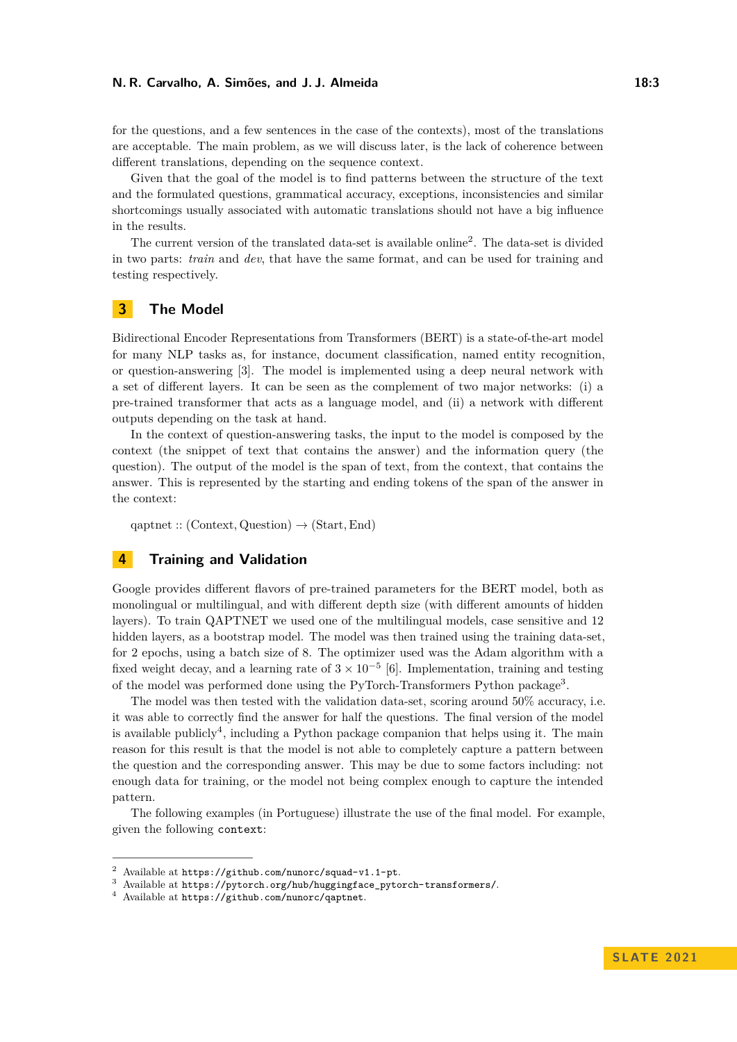#### **N. R. Carvalho, A. Simões, and J. J. Almeida 18:3**

for the questions, and a few sentences in the case of the contexts), most of the translations are acceptable. The main problem, as we will discuss later, is the lack of coherence between different translations, depending on the sequence context.

Given that the goal of the model is to find patterns between the structure of the text and the formulated questions, grammatical accuracy, exceptions, inconsistencies and similar shortcomings usually associated with automatic translations should not have a big influence in the results.

The current version of the translated data-set is available online[2](#page-2-2) . The data-set is divided in two parts: *train* and *dev*, that have the same format, and can be used for training and testing respectively.

## <span id="page-2-0"></span>**3 The Model**

Bidirectional Encoder Representations from Transformers (BERT) is a state-of-the-art model for many NLP tasks as, for instance, document classification, named entity recognition, or question-answering [\[3\]](#page-4-2). The model is implemented using a deep neural network with a set of different layers. It can be seen as the complement of two major networks: (i) a pre-trained transformer that acts as a language model, and (ii) a network with different outputs depending on the task at hand.

In the context of question-answering tasks, the input to the model is composed by the context (the snippet of text that contains the answer) and the information query (the question). The output of the model is the span of text, from the context, that contains the answer. This is represented by the starting and ending tokens of the span of the answer in the context:

qaptnet :: (Context*,* Question) → (Start*,*End)

## <span id="page-2-1"></span>**4 Training and Validation**

Google provides different flavors of pre-trained parameters for the BERT model, both as monolingual or multilingual, and with different depth size (with different amounts of hidden layers). To train QAPTNET we used one of the multilingual models, case sensitive and 12 hidden layers, as a bootstrap model. The model was then trained using the training data-set, for 2 epochs, using a batch size of 8. The optimizer used was the Adam algorithm with a fixed weight decay, and a learning rate of  $3 \times 10^{-5}$  [\[6\]](#page-4-7). Implementation, training and testing of the model was performed done using the PyTorch-Transformers Python package<sup>[3](#page-2-3)</sup>.

The model was then tested with the validation data-set, scoring around 50% accuracy, i.e. it was able to correctly find the answer for half the questions. The final version of the model is available publicly<sup>[4](#page-2-4)</sup>, including a Python package companion that helps using it. The main reason for this result is that the model is not able to completely capture a pattern between the question and the corresponding answer. This may be due to some factors including: not enough data for training, or the model not being complex enough to capture the intended pattern.

The following examples (in Portuguese) illustrate the use of the final model. For example, given the following context:

<span id="page-2-2"></span>Available at <https://github.com/nunorc/squad-v1.1-pt>.

<span id="page-2-3"></span><sup>3</sup> Available at [https://pytorch.org/hub/huggingface\\_pytorch-transformers/](https://pytorch.org/hub/huggingface_pytorch-transformers/).

<span id="page-2-4"></span>Available at <https://github.com/nunorc/qaptnet>.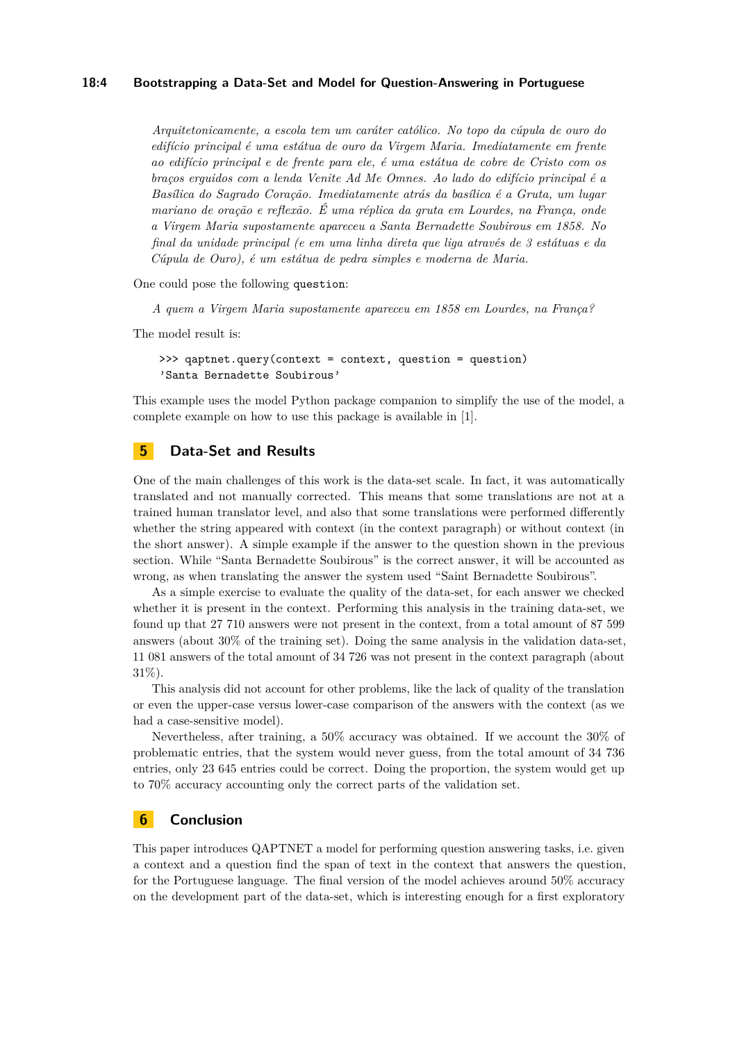#### **18:4 Bootstrapping a Data-Set and Model for Question-Answering in Portuguese**

*Arquitetonicamente, a escola tem um caráter católico. No topo da cúpula de ouro do edifício principal é uma estátua de ouro da Virgem Maria. Imediatamente em frente ao edifício principal e de frente para ele, é uma estátua de cobre de Cristo com os braços erguidos com a lenda Venite Ad Me Omnes. Ao lado do edifício principal é a Basílica do Sagrado Coração. Imediatamente atrás da basílica é a Gruta, um lugar mariano de oração e reflexão. É uma réplica da gruta em Lourdes, na França, onde a Virgem Maria supostamente apareceu a Santa Bernadette Soubirous em 1858. No final da unidade principal (e em uma linha direta que liga através de 3 estátuas e da Cúpula de Ouro), é um estátua de pedra simples e moderna de Maria.*

One could pose the following question:

*A quem a Virgem Maria supostamente apareceu em 1858 em Lourdes, na França?*

The model result is:

>>> qaptnet.query(context = context, question = question) 'Santa Bernadette Soubirous'

This example uses the model Python package companion to simplify the use of the model, a complete example on how to use this package is available in [\[1\]](#page-4-8).

## <span id="page-3-0"></span>**5 Data-Set and Results**

One of the main challenges of this work is the data-set scale. In fact, it was automatically translated and not manually corrected. This means that some translations are not at a trained human translator level, and also that some translations were performed differently whether the string appeared with context (in the context paragraph) or without context (in the short answer). A simple example if the answer to the question shown in the previous section. While "Santa Bernadette Soubirous" is the correct answer, it will be accounted as wrong, as when translating the answer the system used "Saint Bernadette Soubirous".

As a simple exercise to evaluate the quality of the data-set, for each answer we checked whether it is present in the context. Performing this analysis in the training data-set, we found up that 27 710 answers were not present in the context, from a total amount of 87 599 answers (about 30% of the training set). Doing the same analysis in the validation data-set, 11 081 answers of the total amount of 34 726 was not present in the context paragraph (about 31%).

This analysis did not account for other problems, like the lack of quality of the translation or even the upper-case versus lower-case comparison of the answers with the context (as we had a case-sensitive model).

Nevertheless, after training, a 50% accuracy was obtained. If we account the 30% of problematic entries, that the system would never guess, from the total amount of 34 736 entries, only 23 645 entries could be correct. Doing the proportion, the system would get up to 70% accuracy accounting only the correct parts of the validation set.

## **6 Conclusion**

This paper introduces QAPTNET a model for performing question answering tasks, i.e. given a context and a question find the span of text in the context that answers the question, for the Portuguese language. The final version of the model achieves around 50% accuracy on the development part of the data-set, which is interesting enough for a first exploratory